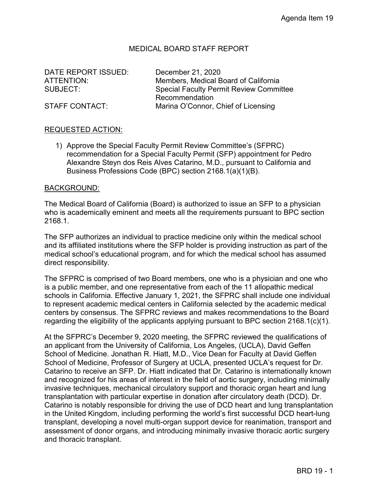## MEDICAL BOARD STAFF REPORT

DATE REPORT ISSUED: December 21, 2020

ATTENTION: Members, Medical Board of California SUBJECT: Special Faculty Permit Review Committee Recommendation STAFF CONTACT: Marina O'Connor, Chief of Licensing

#### REQUESTED ACTION:

1) Approve the Special Faculty Permit Review Committee's (SFPRC) recommendation for a Special Faculty Permit (SFP) appointment for Pedro Alexandre Steyn dos Reis Alves Catarino, M.D., pursuant to California and Business Professions Code (BPC) section 2168.1(a)(1)(B).

#### BACKGROUND:

The Medical Board of California (Board) is authorized to issue an SFP to a physician who is academically eminent and meets all the requirements pursuant to BPC section 2168.1.

The SFP authorizes an individual to practice medicine only within the medical school and its affiliated institutions where the SFP holder is providing instruction as part of the medical school's educational program, and for which the medical school has assumed direct responsibility.

The SFPRC is comprised of two Board members, one who is a physician and one who is a public member, and one representative from each of the 11 allopathic medical schools in California. Effective January 1, 2021, the SFPRC shall include one individual to represent academic medical centers in California selected by the academic medical centers by consensus. The SFPRC reviews and makes recommendations to the Board regarding the eligibility of the applicants applying pursuant to BPC section 2168.1(c)(1).

At the SFPRC's December 9, 2020 meeting, the SFPRC reviewed the qualifications of an applicant from the University of California, Los Angeles, (UCLA), David Geffen School of Medicine. Jonathan R. Hiatt, M.D., Vice Dean for Faculty at David Geffen School of Medicine, Professor of Surgery at UCLA, presented UCLA's request for Dr. Catarino to receive an SFP. Dr. Hiatt indicated that Dr. Catarino is internationally known and recognized for his areas of interest in the field of aortic surgery, including minimally invasive techniques, mechanical circulatory support and thoracic organ heart and lung transplantation with particular expertise in donation after circulatory death (DCD). Dr. Catarino is notably responsible for driving the use of DCD heart and lung transplantation in the United Kingdom, including performing the world's first successful DCD heart-lung transplant, developing a novel multi-organ support device for reanimation, transport and assessment of donor organs, and introducing minimally invasive thoracic aortic surgery and thoracic transplant.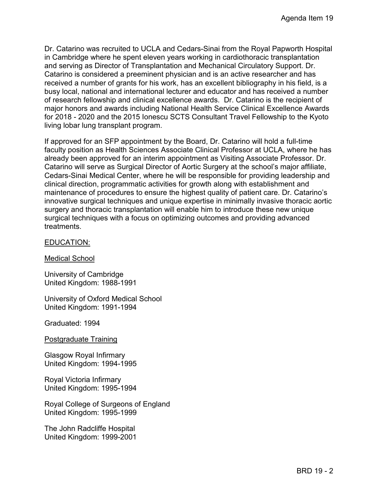Dr. Catarino was recruited to UCLA and Cedars-Sinai from the Royal Papworth Hospital in Cambridge where he spent eleven years working in cardiothoracic transplantation and serving as Director of Transplantation and Mechanical Circulatory Support. Dr. Catarino is considered a preeminent physician and is an active researcher and has received a number of grants for his work, has an excellent bibliography in his field, is a busy local, national and international lecturer and educator and has received a number of research fellowship and clinical excellence awards. Dr. Catarino is the recipient of major honors and awards including National Health Service Clinical Excellence Awards for 2018 - 2020 and the 2015 Ionescu SCTS Consultant Travel Fellowship to the Kyoto living lobar lung transplant program.

If approved for an SFP appointment by the Board, Dr. Catarino will hold a full-time faculty position as Health Sciences Associate Clinical Professor at UCLA, where he has already been approved for an interim appointment as Visiting Associate Professor. Dr. Catarino will serve as Surgical Director of Aortic Surgery at the school's major affiliate, Cedars-Sinai Medical Center, where he will be responsible for providing leadership and clinical direction, programmatic activities for growth along with establishment and maintenance of procedures to ensure the highest quality of patient care. Dr. Catarino's innovative surgical techniques and unique expertise in minimally invasive thoracic aortic surgery and thoracic transplantation will enable him to introduce these new unique surgical techniques with a focus on optimizing outcomes and providing advanced treatments.

### EDUCATION:

Medical School

University of Cambridge United Kingdom: 1988-1991

University of Oxford Medical School United Kingdom: 1991-1994

Graduated: 1994

Postgraduate Training

Glasgow Royal Infirmary United Kingdom: 1994-1995

Royal Victoria Infirmary United Kingdom: 1995-1994

Royal College of Surgeons of England United Kingdom: 1995-1999

The John Radcliffe Hospital United Kingdom: 1999-2001